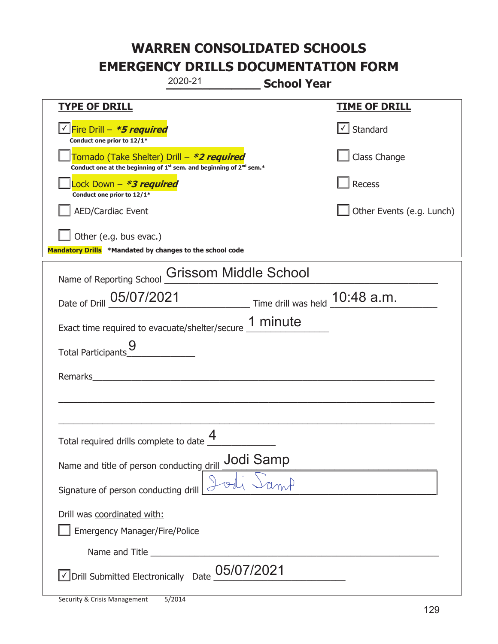|                                                                                                                             | 2020-21                      | <b>School Year</b> |                           |
|-----------------------------------------------------------------------------------------------------------------------------|------------------------------|--------------------|---------------------------|
| <b>TYPE OF DRILL</b>                                                                                                        |                              |                    | <u>TIME OF DRILL</u>      |
| <u>√ Fire Drill – <i>*5 required</i></u><br>Conduct one prior to 12/1*                                                      |                              |                    | $\cup$ Standard           |
| Tornado (Take Shelter) Drill – *2 required<br>Conduct one at the beginning of $1^{st}$ sem. and beginning of $2^{nd}$ sem.* |                              |                    | Class Change              |
| ock Down - <b>*3 required</b><br>Conduct one prior to 12/1*                                                                 |                              |                    | Recess                    |
| AED/Cardiac Event                                                                                                           |                              |                    | Other Events (e.g. Lunch) |
| Other (e.g. bus evac.)<br>Mandatory Drills *Mandated by changes to the school code                                          |                              |                    |                           |
| Name of Reporting School                                                                                                    | <b>Grissom Middle School</b> |                    |                           |
| Date of Drill 05/07/2021 Time drill was held 10:48 a.m.                                                                     |                              |                    |                           |
| Exact time required to evacuate/shelter/secure 1 minute                                                                     |                              |                    |                           |
| Total Participants_9                                                                                                        |                              |                    |                           |
| Remarks                                                                                                                     |                              |                    |                           |
|                                                                                                                             |                              |                    |                           |
| Total required drills complete to date                                                                                      | 4                            |                    |                           |
| Name and title of person conducting drill Jodi Samp                                                                         |                              |                    |                           |
| Signature of person conducting drill                                                                                        |                              |                    |                           |
| Drill was coordinated with:<br><b>Emergency Manager/Fire/Police</b>                                                         |                              |                    |                           |
|                                                                                                                             |                              |                    |                           |
| √ Drill Submitted Electronically Date                                                                                       | 05/07/2021                   |                    |                           |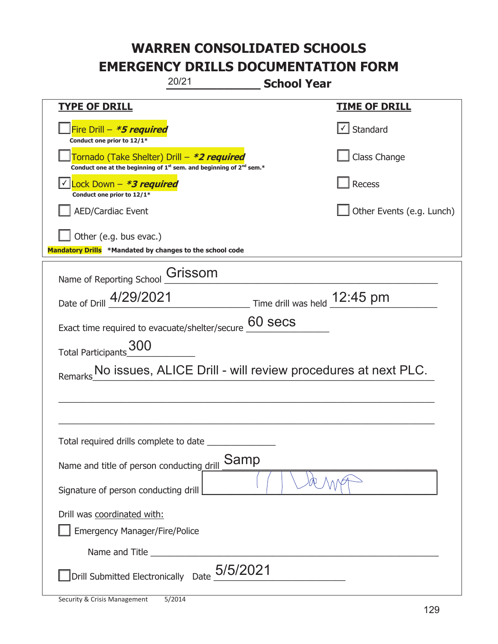|                                                                                                                             | 20/21   | <b>School Year</b>                                                            |                                                              |
|-----------------------------------------------------------------------------------------------------------------------------|---------|-------------------------------------------------------------------------------|--------------------------------------------------------------|
| <b>TYPE OF DRILL</b>                                                                                                        |         |                                                                               | <u>TIME OF DRILL</u>                                         |
| Fire Drill - *5 required<br>Conduct one prior to 12/1*                                                                      |         |                                                                               | Standard                                                     |
| Tornado (Take Shelter) Drill – *2 required<br>Conduct one at the beginning of $1^{st}$ sem. and beginning of $2^{nd}$ sem.* |         |                                                                               | Class Change                                                 |
| Lock Down - *3 required<br>Conduct one prior to 12/1*                                                                       |         |                                                                               | Recess                                                       |
| <b>AED/Cardiac Event</b>                                                                                                    |         |                                                                               | Other Events (e.g. Lunch)                                    |
| Other (e.g. bus evac.)<br>Mandatory Drills *Mandated by changes to the school code                                          |         |                                                                               |                                                              |
| Name of Reporting School                                                                                                    | Grissom |                                                                               |                                                              |
| Date of Drill 4/29/2021                                                                                                     |         | $\frac{12:45 \text{ pm}}{2}$ Time drill was held $\frac{12:45 \text{ pm}}{2}$ |                                                              |
| Exact time required to evacuate/shelter/secure                                                                              |         | 60 secs                                                                       |                                                              |
| Total Participants_300                                                                                                      |         |                                                                               |                                                              |
|                                                                                                                             |         |                                                                               | No issues, ALICE Drill - will review procedures at next PLC. |
|                                                                                                                             |         |                                                                               |                                                              |
|                                                                                                                             |         |                                                                               |                                                              |
| Total required drills complete to date                                                                                      |         |                                                                               |                                                              |
| Name and title of person conducting drill                                                                                   | Samp    |                                                                               |                                                              |
| Signature of person conducting drill                                                                                        |         |                                                                               |                                                              |
| Drill was coordinated with:<br><b>Emergency Manager/Fire/Police</b>                                                         |         |                                                                               |                                                              |
|                                                                                                                             |         |                                                                               |                                                              |
| Drill Submitted Electronically Date $_0$ 5/5/2021                                                                           |         |                                                                               |                                                              |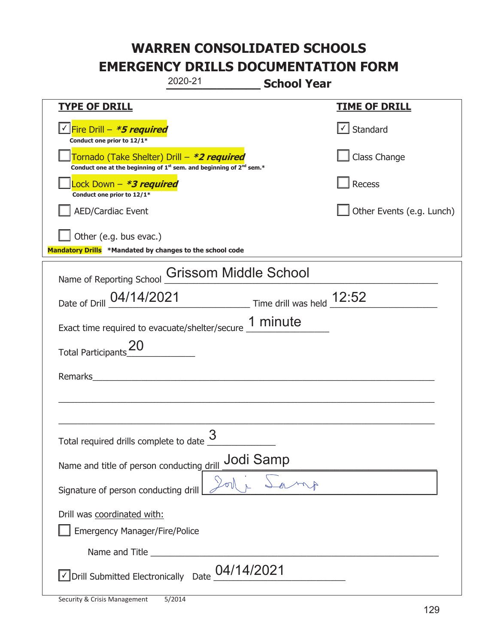| 2020-21                                                                                                                                   | <b>School Year</b>        |
|-------------------------------------------------------------------------------------------------------------------------------------------|---------------------------|
| <b>TYPE OF DRILL</b>                                                                                                                      | <b>TIME OF DRILL</b>      |
| <u>√ Fire Drill – <i>*5 required</i></u><br>Conduct one prior to 12/1*                                                                    | √ Standard                |
| Tornado (Take Shelter) Drill – *2 required<br>Conduct one at the beginning of 1 <sup>st</sup> sem. and beginning of 2 <sup>nd</sup> sem.* | Class Change              |
| Lock Down - <b><i>*3 required</i></b><br>Conduct one prior to 12/1*                                                                       | Recess                    |
| <b>AED/Cardiac Event</b>                                                                                                                  | Other Events (e.g. Lunch) |
| Other (e.g. bus evac.)                                                                                                                    |                           |
| Mandatory Drills *Mandated by changes to the school code                                                                                  |                           |
| Name of Reporting School Grissom Middle School                                                                                            |                           |
| Date of Drill 04/14/2021 Time drill was held 12:52                                                                                        |                           |
| Exact time required to evacuate/shelter/secure 1 minute                                                                                   |                           |
| Total Participants <sup>20</sup>                                                                                                          |                           |
| Remarks                                                                                                                                   |                           |
|                                                                                                                                           |                           |
|                                                                                                                                           |                           |
| 3<br>Total required drills complete to date                                                                                               |                           |
| Name and title of person conducting drill                                                                                                 | <b>Jodi Samp</b>          |
| Signature of person conducting drill                                                                                                      |                           |
| Drill was coordinated with:                                                                                                               |                           |
| <b>Emergency Manager/Fire/Police</b>                                                                                                      |                           |
|                                                                                                                                           |                           |
| √ Drill Submitted Electronically Date                                                                                                     | 04/14/2021                |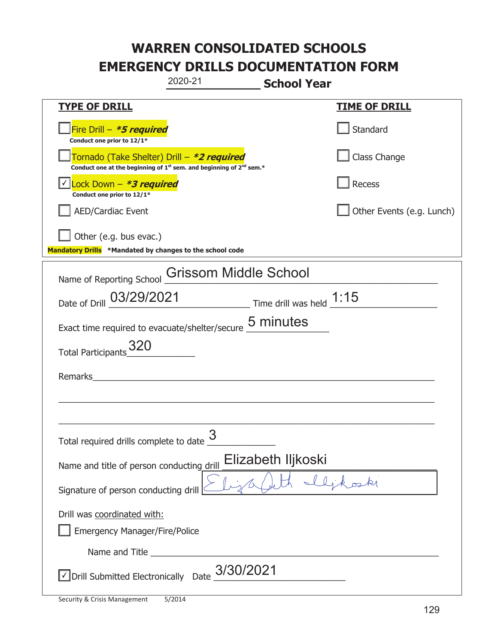|                                                                                    | 2020-21<br><b>School Year</b>                                           |                           |
|------------------------------------------------------------------------------------|-------------------------------------------------------------------------|---------------------------|
| <u>TYPE OF DRILL</u>                                                               |                                                                         | <u>TIME OF DRILL</u>      |
| Fire Drill - *5 required<br>Conduct one prior to 12/1*                             |                                                                         | Standard                  |
| Tornado (Take Shelter) Drill – *2 required                                         | Conduct one at the beginning of $1st$ sem. and beginning of $2nd$ sem.* | Class Change              |
| Lock Down - <b>*3 required</b><br>Conduct one prior to 12/1*                       |                                                                         | Recess                    |
| AED/Cardiac Event                                                                  |                                                                         | Other Events (e.g. Lunch) |
| Other (e.g. bus evac.)<br>Mandatory Drills *Mandated by changes to the school code |                                                                         |                           |
| Name of Reporting School                                                           | Grissom Middle School                                                   |                           |
|                                                                                    | Date of Drill 03/29/2021 Time drill was held 1:15                       |                           |
|                                                                                    | Exact time required to evacuate/shelter/secure 5 minutes                |                           |
| Total Participants_320                                                             |                                                                         |                           |
| Remarks                                                                            |                                                                         |                           |
|                                                                                    |                                                                         |                           |
| Total required drills complete to date                                             | 3                                                                       |                           |
| Name and title of person conducting drill                                          | Elizabeth Iljkoski                                                      |                           |
| Signature of person conducting drill                                               |                                                                         |                           |
| Drill was coordinated with:<br><b>Emergency Manager/Fire/Police</b>                |                                                                         |                           |
| Name and Title _____                                                               |                                                                         |                           |
| √ Drill Submitted Electronically Date                                              | 3/30/2021                                                               |                           |

t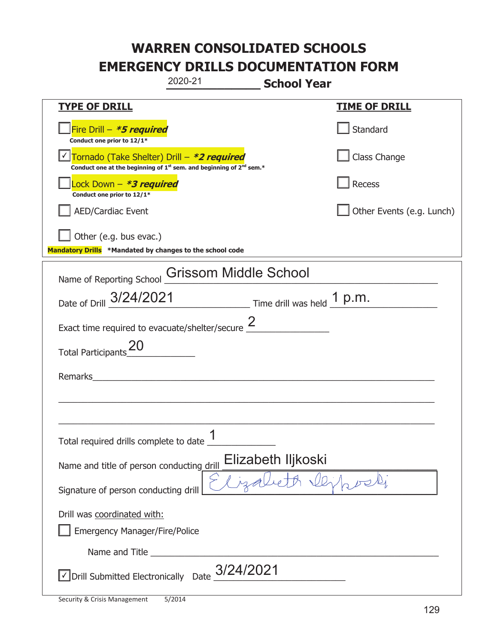|                                                                                    | 2020-21                                                                                     | <b>School Year</b> |                           |
|------------------------------------------------------------------------------------|---------------------------------------------------------------------------------------------|--------------------|---------------------------|
| <b>TYPE OF DRILL</b>                                                               |                                                                                             |                    | <u>TIME OF DRILL</u>      |
| Fire Drill - *5 required<br>Conduct one prior to 12/1*                             |                                                                                             |                    | Standard                  |
| Tornado (Take Shelter) Drill – *2 required                                         | Conduct one at the beginning of 1 <sup>st</sup> sem. and beginning of 2 <sup>nd</sup> sem.* |                    | Class Change              |
| Lock Down - *3 required<br>Conduct one prior to 12/1*                              |                                                                                             |                    | Recess                    |
| <b>AED/Cardiac Event</b>                                                           |                                                                                             |                    | Other Events (e.g. Lunch) |
| Other (e.g. bus evac.)<br>Mandatory Drills *Mandated by changes to the school code |                                                                                             |                    |                           |
|                                                                                    |                                                                                             |                    |                           |
| Name of Reporting School <b>Grissom Middle School</b>                              |                                                                                             |                    |                           |
| Date of Drill 3/24/2021 Time drill was held 1 p.m.                                 |                                                                                             |                    |                           |
| Exact time required to evacuate/shelter/secure $\frac{2}{3}$                       |                                                                                             |                    |                           |
| Total Participants_20                                                              |                                                                                             |                    |                           |
| Remarks                                                                            |                                                                                             |                    |                           |
|                                                                                    |                                                                                             |                    |                           |
|                                                                                    |                                                                                             |                    |                           |
| Total required drills complete to date                                             | 1                                                                                           |                    |                           |
| Name and title of person conducting drill                                          |                                                                                             | Elizabeth Iljkoski |                           |
| Signature of person conducting drill                                               |                                                                                             |                    |                           |
| Drill was coordinated with:<br><b>Emergency Manager/Fire/Police</b>                |                                                                                             |                    |                           |
|                                                                                    |                                                                                             |                    |                           |
| $\sqrt{2}$ Drill Submitted Electronically Date $3/24/2021$                         |                                                                                             |                    |                           |
|                                                                                    |                                                                                             |                    |                           |

t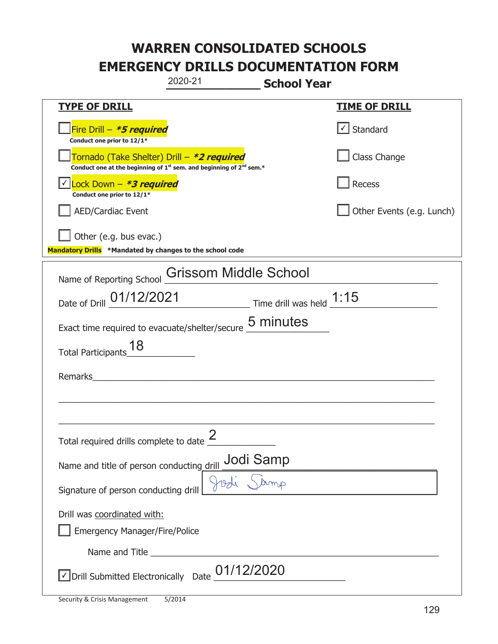| 2020-21<br><b>School Year</b>                                                                                                             |                           |
|-------------------------------------------------------------------------------------------------------------------------------------------|---------------------------|
| <b>TYPE OF DRILL</b>                                                                                                                      | <u>TIME OF DRILL</u>      |
| Fire Drill - *5 required<br>Conduct one prior to 12/1*                                                                                    | √ Standard                |
| Tornado (Take Shelter) Drill – *2 required<br>Conduct one at the beginning of 1 <sup>st</sup> sem. and beginning of 2 <sup>nd</sup> sem.* | Class Change              |
| Lock Down $-$ *3 required<br>Conduct one prior to 12/1*                                                                                   | Recess                    |
| <b>AED/Cardiac Event</b>                                                                                                                  | Other Events (e.g. Lunch) |
| Other (e.g. bus evac.)                                                                                                                    |                           |
| Mandatory Drills *Mandated by changes to the school code                                                                                  |                           |
| <b>Grissom Middle School</b><br>Name of Reporting School                                                                                  |                           |
| Date of Drill 01/12/2021 Time drill was held 1:15                                                                                         |                           |
| 5 minutes<br>Exact time required to evacuate/shelter/secure                                                                               |                           |
| 18<br><b>Total Participants</b>                                                                                                           |                           |
| Remarks                                                                                                                                   |                           |
|                                                                                                                                           |                           |
|                                                                                                                                           |                           |
| Total required drills complete to date $\frac{2}{3}$                                                                                      |                           |
| Name and title of person conducting drill $\frac{\text{Jodi Samp}}{\text{J8d} \cdot \text{Samp}}$                                         |                           |
| Signature of person conducting drill                                                                                                      |                           |
| Drill was coordinated with:                                                                                                               |                           |
| <b>Emergency Manager/Fire/Police</b>                                                                                                      |                           |
|                                                                                                                                           |                           |
| $\sqrt{2}$ Drill Submitted Electronically Date $\underline{01/12/2020}$                                                                   |                           |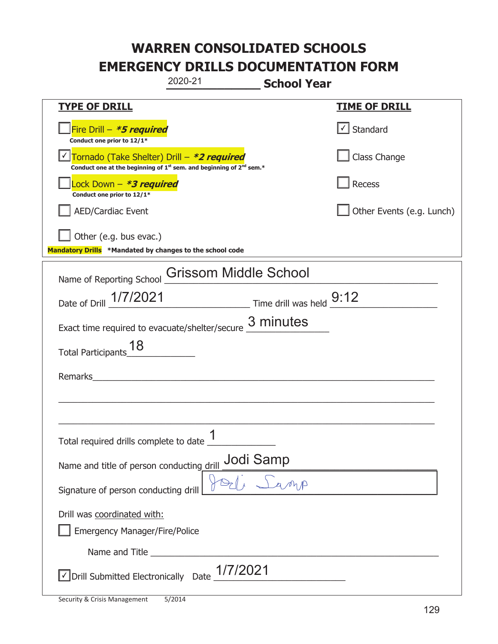| 2020-21                                                                                                                                   | <b>School Year</b>        |
|-------------------------------------------------------------------------------------------------------------------------------------------|---------------------------|
| <b>TYPE OF DRILL</b>                                                                                                                      | <b>TIME OF DRILL</b>      |
| Fire Drill - <i>*<b>5 required</b></i><br>Conduct one prior to 12/1*                                                                      | √ Standard                |
| Tornado (Take Shelter) Drill - *2 required<br>Conduct one at the beginning of 1 <sup>st</sup> sem. and beginning of 2 <sup>nd</sup> sem.* | Class Change              |
| Lock Down – <i>*<b>3 required</b></i><br>Conduct one prior to 12/1*                                                                       | Recess                    |
| <b>AED/Cardiac Event</b>                                                                                                                  | Other Events (e.g. Lunch) |
| Other (e.g. bus evac.)<br>Mandatory Drills *Mandated by changes to the school code                                                        |                           |
|                                                                                                                                           |                           |
| <b>Grissom Middle School</b><br>Name of Reporting School                                                                                  |                           |
| Date of Drill 1/7/2021 Time drill was held 9:12                                                                                           |                           |
| Exact time required to evacuate/shelter/secure                                                                                            | 3 minutes                 |
| 18<br><b>Total Participants</b>                                                                                                           |                           |
| Remarks                                                                                                                                   |                           |
|                                                                                                                                           |                           |
|                                                                                                                                           |                           |
| 1<br>Total required drills complete to date                                                                                               |                           |
| Name and title of person conducting drill <b>Jodi Samp</b>                                                                                |                           |
| Signature of person conducting drill                                                                                                      |                           |
| Drill was coordinated with:                                                                                                               |                           |
| <b>Emergency Manager/Fire/Police</b>                                                                                                      |                           |
|                                                                                                                                           |                           |
| $\sqrt{\frac{1}{2021}}$ Submitted Electronically Date $\frac{1}{7}/2021$                                                                  |                           |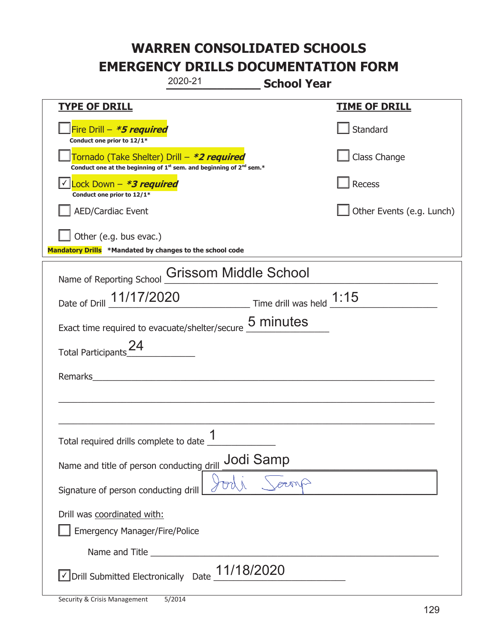|                                                                                    | 2020-21                                                                                     | <b>School Year</b> |                           |
|------------------------------------------------------------------------------------|---------------------------------------------------------------------------------------------|--------------------|---------------------------|
| <b>TYPE OF DRILL</b>                                                               |                                                                                             |                    | <u>TIME OF DRILL</u>      |
| Fire Drill - *5 required<br>Conduct one prior to 12/1*                             |                                                                                             |                    | Standard                  |
| Tornado (Take Shelter) Drill – *2 required                                         | Conduct one at the beginning of 1 <sup>st</sup> sem. and beginning of 2 <sup>nd</sup> sem.* |                    | Class Change              |
| Lock Down - *3 required<br>Conduct one prior to 12/1*                              |                                                                                             |                    | Recess                    |
| <b>AED/Cardiac Event</b>                                                           |                                                                                             |                    | Other Events (e.g. Lunch) |
| Other (e.g. bus evac.)<br>Mandatory Drills *Mandated by changes to the school code |                                                                                             |                    |                           |
| Name of Reporting School                                                           | <b>Grissom Middle School</b>                                                                |                    |                           |
| Date of Drill 11/17/2020 Time drill was held 1:15                                  |                                                                                             |                    |                           |
| Exact time required to evacuate/shelter/secure 5 minutes                           |                                                                                             |                    |                           |
| Total Participants <sup>24</sup>                                                   |                                                                                             |                    |                           |
| Remarks                                                                            |                                                                                             |                    |                           |
|                                                                                    |                                                                                             |                    |                           |
| Total required drills complete to date 1                                           |                                                                                             |                    |                           |
| Name and title of person conducting drill                                          | Jodi Samp                                                                                   |                    |                           |
| Signature of person conducting drill                                               |                                                                                             |                    |                           |
| Drill was coordinated with:<br><b>Emergency Manager/Fire/Police</b>                |                                                                                             |                    |                           |
|                                                                                    |                                                                                             |                    |                           |
| $\sqrt{2}$ Drill Submitted Electronically Date $\underline{11/18/2020}$            |                                                                                             |                    |                           |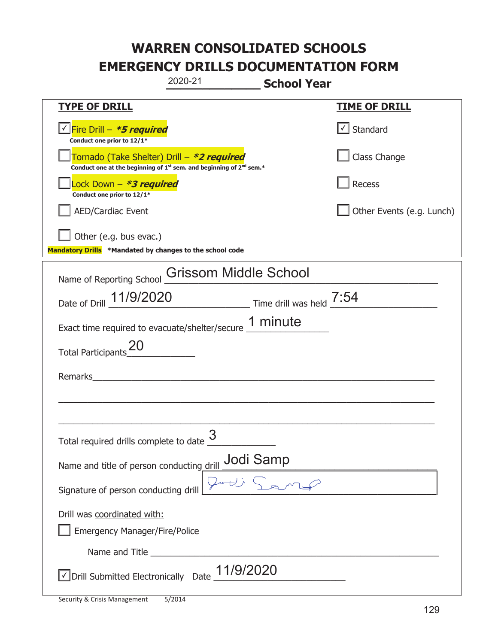| 2020-21                                                                                                                                   | <b>School Year</b>        |
|-------------------------------------------------------------------------------------------------------------------------------------------|---------------------------|
| <b>TYPE OF DRILL</b>                                                                                                                      | <b>TIME OF DRILL</b>      |
| <u>√ Fire Drill – <i>*5 required</i></u><br>Conduct one prior to 12/1*                                                                    | √ Standard                |
| Tornado (Take Shelter) Drill – *2 required<br>Conduct one at the beginning of 1 <sup>st</sup> sem. and beginning of 2 <sup>nd</sup> sem.* | Class Change              |
| Lock Down – <i>*<b>3 required</b></i><br>Conduct one prior to 12/1*                                                                       | Recess                    |
| <b>AED/Cardiac Event</b>                                                                                                                  | Other Events (e.g. Lunch) |
| Other (e.g. bus evac.)                                                                                                                    |                           |
| Mandatory Drills *Mandated by changes to the school code                                                                                  |                           |
| <b>Grissom Middle School</b><br>Name of Reporting School                                                                                  |                           |
| Date of Drill 11/9/2020 Time drill was held 7:54                                                                                          |                           |
| Exact time required to evacuate/shelter/secure 1 minute                                                                                   |                           |
| <b>Total Participants</b>                                                                                                                 |                           |
| Remarks                                                                                                                                   |                           |
|                                                                                                                                           |                           |
|                                                                                                                                           |                           |
| 3<br>Total required drills complete to date                                                                                               |                           |
| Name and title of person conducting drill <b>Jodi Samp</b>                                                                                |                           |
| Signature of person conducting drill                                                                                                      |                           |
| Drill was coordinated with:                                                                                                               |                           |
| <b>Emergency Manager/Fire/Police</b>                                                                                                      |                           |
|                                                                                                                                           |                           |
| $\sqrt{\text{Drill}}$ Submitted Electronically Date $\frac{11/9}{2020}$                                                                   |                           |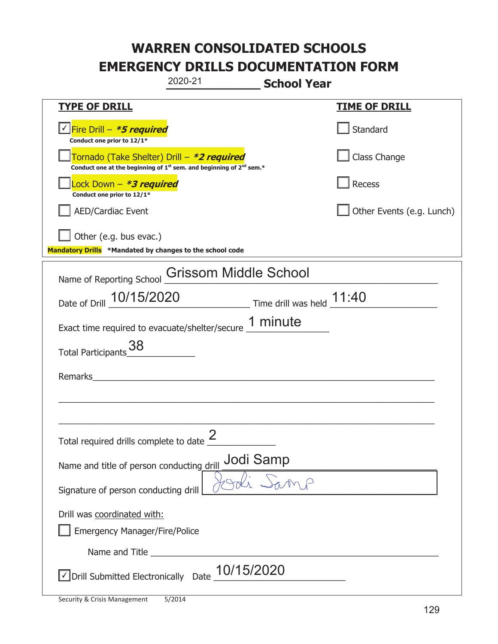| 2020-21                                                                                                                                   | <b>School Year</b>        |
|-------------------------------------------------------------------------------------------------------------------------------------------|---------------------------|
| <b>TYPE OF DRILL</b>                                                                                                                      | <b>TIME OF DRILL</b>      |
| V Fire Drill - *5 required<br>Conduct one prior to 12/1*                                                                                  | Standard                  |
| Tornado (Take Shelter) Drill – *2 required<br>Conduct one at the beginning of 1 <sup>st</sup> sem. and beginning of 2 <sup>nd</sup> sem.* | Class Change              |
| Lock Down – <i>*<b>3 required</b></i><br>Conduct one prior to 12/1*                                                                       | Recess                    |
| <b>AED/Cardiac Event</b>                                                                                                                  | Other Events (e.g. Lunch) |
| Other (e.g. bus evac.)                                                                                                                    |                           |
| Mandatory Drills *Mandated by changes to the school code                                                                                  |                           |
| Grissom Middle School<br>Name of Reporting School                                                                                         |                           |
| Date of Drill 10/15/2020 Time drill was held 11:40                                                                                        |                           |
| Exact time required to evacuate/shelter/secure 1 minute                                                                                   |                           |
| 38<br><b>Total Participants</b>                                                                                                           |                           |
| Remarks                                                                                                                                   |                           |
|                                                                                                                                           |                           |
|                                                                                                                                           |                           |
| Total required drills complete to date $\frac{2}{3}$                                                                                      |                           |
| Name and title of person conducting drill                                                                                                 | Jodi Samp                 |
| Signature of person conducting drill                                                                                                      |                           |
| Drill was coordinated with:                                                                                                               |                           |
| <b>Emergency Manager/Fire/Police</b>                                                                                                      |                           |
|                                                                                                                                           |                           |
| $\sqrt{2}$ Drill Submitted Electronically Date $\underline{10/15/2020}$                                                                   |                           |